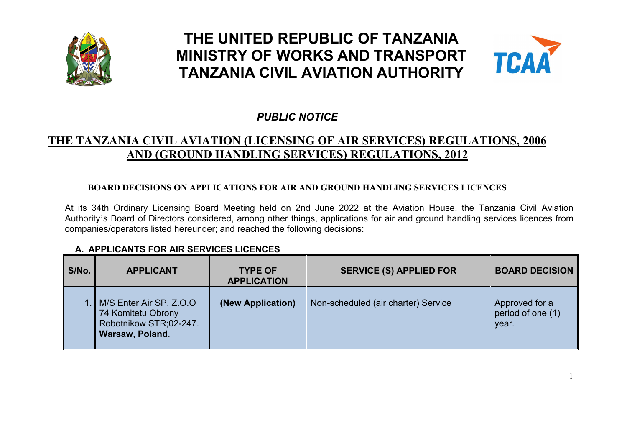

# **THE UNITED REPUBLIC OF TANZANIA MINISTRY OF WORKS AND TRANSPORT TANZANIA CIVIL AVIATION AUTHORITY**



## *PUBLIC NOTICE*

## **THE TANZANIA CIVIL AVIATION (LICENSING OF AIR SERVICES) REGULATIONS, 2006 AND (GROUND HANDLING SERVICES) REGULATIONS, 2012**

#### **BOARD DECISIONS ON APPLICATIONS FOR AIR AND GROUND HANDLING SERVICES LICENCES**

At its 34th Ordinary Licensing Board Meeting held on 2nd June 2022 at the Aviation House, the Tanzania Civil Aviation Authority's Board of Directors considered, among other things, applications for air and ground handling services licences from companies/operators listed hereunder; and reached the following decisions:

#### **A. APPLICANTS FOR AIR SERVICES LICENCES**

| S/No. | <b>APPLICANT</b>                                                       | <b>TYPE OF</b><br><b>APPLICATION</b> | <b>SERVICE (S) APPLIED FOR</b>      | <b>BOARD DECISION</b>                        |
|-------|------------------------------------------------------------------------|--------------------------------------|-------------------------------------|----------------------------------------------|
|       | 74 Komitetu Obrony<br>Robotnikow STR;02-247.<br><b>Warsaw, Poland.</b> | (New Application)                    | Non-scheduled (air charter) Service | Approved for a<br>period of one (1)<br>year. |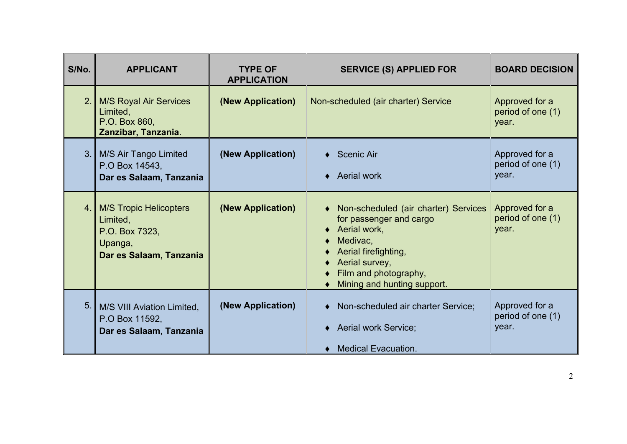| S/No.          | <b>APPLICANT</b>                                                                                  | <b>TYPE OF</b><br><b>APPLICATION</b> | <b>SERVICE (S) APPLIED FOR</b>                                                                                                                                                                                          | <b>BOARD DECISION</b>                        |
|----------------|---------------------------------------------------------------------------------------------------|--------------------------------------|-------------------------------------------------------------------------------------------------------------------------------------------------------------------------------------------------------------------------|----------------------------------------------|
| 2.             | <b>M/S Royal Air Services</b><br>Limited,<br>P.O. Box 860,<br>Zanzibar, Tanzania.                 | (New Application)                    | Non-scheduled (air charter) Service                                                                                                                                                                                     | Approved for a<br>period of one (1)<br>year. |
|                | 3. M/S Air Tango Limited<br>P.O Box 14543,<br>Dar es Salaam, Tanzania                             | (New Application)                    | $\triangleleft$ Scenic Air<br>Aerial work<br>$\bullet$                                                                                                                                                                  | Approved for a<br>period of one (1)<br>year. |
| 4.1            | <b>M/S Tropic Helicopters</b><br>Limited,<br>P.O. Box 7323,<br>Upanga,<br>Dar es Salaam, Tanzania | (New Application)                    | Non-scheduled (air charter) Services<br>$\bullet$<br>for passenger and cargo<br>Aerial work,<br>$\bullet$<br>Medivac,<br>Aerial firefighting,<br>Aerial survey,<br>Film and photography,<br>Mining and hunting support. | Approved for a<br>period of one (1)<br>year. |
| 5 <sub>1</sub> | M/S VIII Aviation Limited,<br>P.O Box 11592,<br>Dar es Salaam, Tanzania                           | (New Application)                    | Non-scheduled air charter Service;<br>$\bullet$<br>Aerial work Service;<br><b>Medical Evacuation.</b>                                                                                                                   | Approved for a<br>period of one (1)<br>year. |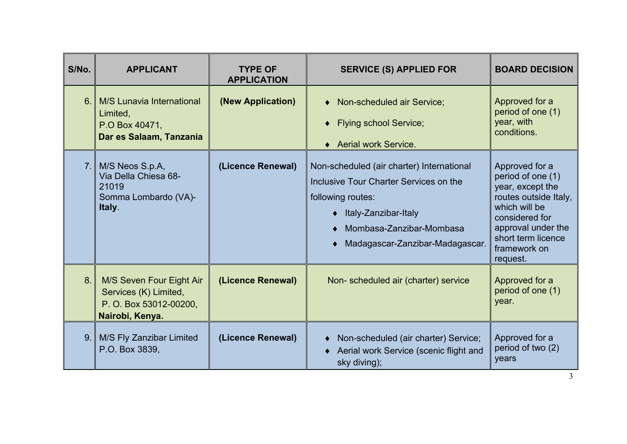| S/No. | <b>APPLICANT</b>                                                                               | <b>TYPE OF</b><br><b>APPLICATION</b> | <b>SERVICE (S) APPLIED FOR</b>                                                                                                                                                                    | <b>BOARD DECISION</b>                                                                                                                                                                       |
|-------|------------------------------------------------------------------------------------------------|--------------------------------------|---------------------------------------------------------------------------------------------------------------------------------------------------------------------------------------------------|---------------------------------------------------------------------------------------------------------------------------------------------------------------------------------------------|
| 6.    | M/S Lunavia International<br>Limited,<br>P.O Box 40471,<br>Dar es Salaam, Tanzania             | (New Application)                    | Non-scheduled air Service;<br><b>Flying school Service;</b><br>$\blacklozenge$<br>◆ Aerial work Service.                                                                                          | Approved for a<br>period of one (1)<br>year, with<br>conditions.                                                                                                                            |
| 7.1   | M/S Neos S.p.A,<br>Via Della Chiesa 68-<br>21019<br>Somma Lombardo (VA)-<br>Italy.             | (Licence Renewal)                    | Non-scheduled (air charter) International<br>Inclusive Tour Charter Services on the<br>following routes:<br>◆ Italy-Zanzibar-Italy<br>Mombasa-Zanzibar-Mombasa<br>Madagascar-Zanzibar-Madagascar. | Approved for a<br>period of one (1)<br>year, except the<br>routes outside Italy,<br>which will be<br>considered for<br>approval under the<br>short term licence<br>framework on<br>request. |
| 8.    | M/S Seven Four Eight Air<br>Services (K) Limited,<br>P. O. Box 53012-00200,<br>Nairobi, Kenya. | (Licence Renewal)                    | Non-scheduled air (charter) service                                                                                                                                                               | Approved for a<br>period of one (1)<br>year.                                                                                                                                                |
|       | 9. M/S Fly Zanzibar Limited<br>P.O. Box 3839,                                                  | (Licence Renewal)                    | Non-scheduled (air charter) Service;<br>Aerial work Service (scenic flight and<br>$\blacklozenge$<br>sky diving);                                                                                 | Approved for a<br>period of two (2)<br>years                                                                                                                                                |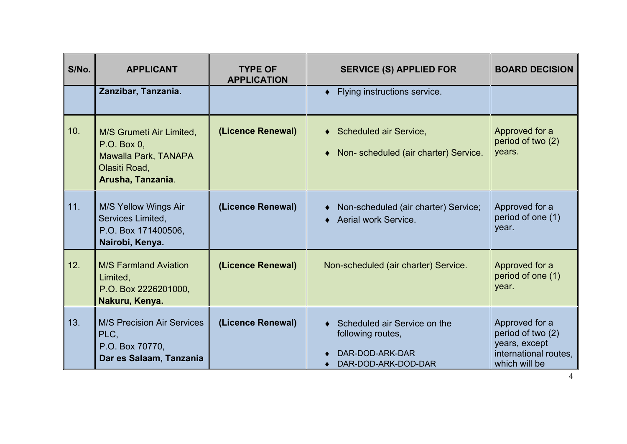| S/No. | <b>APPLICANT</b><br>Zanzibar, Tanzania.                                                               | <b>TYPE OF</b><br><b>APPLICATION</b> | <b>SERVICE (S) APPLIED FOR</b><br>Flying instructions service.<br>٠                           | <b>BOARD DECISION</b>                                                                          |
|-------|-------------------------------------------------------------------------------------------------------|--------------------------------------|-----------------------------------------------------------------------------------------------|------------------------------------------------------------------------------------------------|
| 10.   | M/S Grumeti Air Limited,<br>P.O. Box 0,<br>Mawalla Park, TANAPA<br>Olasiti Road,<br>Arusha, Tanzania. | (Licence Renewal)                    | <b>Scheduled air Service,</b><br>$\blacklozenge$<br>Non-scheduled (air charter) Service.<br>٠ | Approved for a<br>period of two (2)<br>years.                                                  |
| 11.   | M/S Yellow Wings Air<br>Services Limited,<br>P.O. Box 171400506,<br>Nairobi, Kenya.                   | (Licence Renewal)                    | Non-scheduled (air charter) Service;<br>Aerial work Service.                                  | Approved for a<br>period of one (1)<br>year.                                                   |
| 12.   | <b>M/S Farmland Aviation</b><br>Limited,<br>P.O. Box 2226201000,<br>Nakuru, Kenya.                    | (Licence Renewal)                    | Non-scheduled (air charter) Service.                                                          | Approved for a<br>period of one (1)<br>year.                                                   |
| 13.   | <b>M/S Precision Air Services</b><br>PLC,<br>P.O. Box 70770,<br>Dar es Salaam, Tanzania               | (Licence Renewal)                    | Scheduled air Service on the<br>following routes,<br>DAR-DOD-ARK-DAR<br>DAR-DOD-ARK-DOD-DAR   | Approved for a<br>period of two (2)<br>years, except<br>international routes,<br>which will be |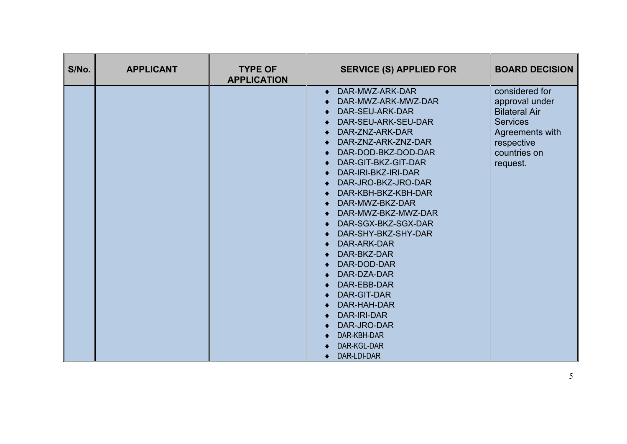| S/No. | <b>APPLICANT</b> | <b>TYPE OF</b><br><b>APPLICATION</b> | <b>SERVICE (S) APPLIED FOR</b>                                                                                                                                                                                                                                                                                                                                                                                                                                                                                                                      | <b>BOARD DECISION</b>                                                                                                                    |
|-------|------------------|--------------------------------------|-----------------------------------------------------------------------------------------------------------------------------------------------------------------------------------------------------------------------------------------------------------------------------------------------------------------------------------------------------------------------------------------------------------------------------------------------------------------------------------------------------------------------------------------------------|------------------------------------------------------------------------------------------------------------------------------------------|
|       |                  |                                      | DAR-MWZ-ARK-DAR<br>$\bullet$<br>DAR-MWZ-ARK-MWZ-DAR<br>DAR-SEU-ARK-DAR<br>DAR-SEU-ARK-SEU-DAR<br>DAR-ZNZ-ARK-DAR<br>DAR-ZNZ-ARK-ZNZ-DAR<br>DAR-DOD-BKZ-DOD-DAR<br>DAR-GIT-BKZ-GIT-DAR<br>DAR-IRI-BKZ-IRI-DAR<br>DAR-JRO-BKZ-JRO-DAR<br>DAR-KBH-BKZ-KBH-DAR<br>DAR-MWZ-BKZ-DAR<br>DAR-MWZ-BKZ-MWZ-DAR<br>DAR-SGX-BKZ-SGX-DAR<br>DAR-SHY-BKZ-SHY-DAR<br>DAR-ARK-DAR<br>DAR-BKZ-DAR<br>DAR-DOD-DAR<br>DAR-DZA-DAR<br>DAR-EBB-DAR<br>DAR-GIT-DAR<br>DAR-HAH-DAR<br>DAR-IRI-DAR<br>DAR-JRO-DAR<br>DAR-KBH-DAR<br>DAR-KGL-DAR<br>DAR-LDI-DAR<br>$\bullet$ | considered for<br>approval under<br><b>Bilateral Air</b><br><b>Services</b><br>Agreements with<br>respective<br>countries on<br>request. |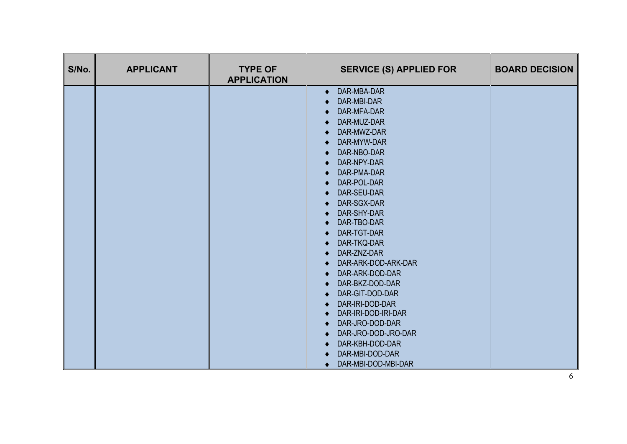| S/No. | <b>APPLICANT</b> | <b>TYPE OF</b><br><b>APPLICATION</b> | <b>SERVICE (S) APPLIED FOR</b>                                                                                                                                                                                                                                                                                                                                                                                                                                                                                                                                             | <b>BOARD DECISION</b> |
|-------|------------------|--------------------------------------|----------------------------------------------------------------------------------------------------------------------------------------------------------------------------------------------------------------------------------------------------------------------------------------------------------------------------------------------------------------------------------------------------------------------------------------------------------------------------------------------------------------------------------------------------------------------------|-----------------------|
|       |                  |                                      | DAR-MBA-DAR<br>$\bullet$<br>DAR-MBI-DAR<br>DAR-MFA-DAR<br>DAR-MUZ-DAR<br>DAR-MWZ-DAR<br>DAR-MYW-DAR<br>$\bullet$<br>DAR-NBO-DAR<br>DAR-NPY-DAR<br>DAR-PMA-DAR<br>DAR-POL-DAR<br>$\bullet$<br>DAR-SEU-DAR<br>DAR-SGX-DAR<br>DAR-SHY-DAR<br>DAR-TBO-DAR<br>$\bullet$<br>DAR-TGT-DAR<br>DAR-TKQ-DAR<br>DAR-ZNZ-DAR<br>$\bullet$<br>DAR-ARK-DOD-ARK-DAR<br>DAR-ARK-DOD-DAR<br>DAR-BKZ-DOD-DAR<br>DAR-GIT-DOD-DAR<br>DAR-IRI-DOD-DAR<br>DAR-IRI-DOD-IRI-DAR<br>DAR-JRO-DOD-DAR<br>DAR-JRO-DOD-JRO-DAR<br>DAR-KBH-DOD-DAR<br>DAR-MBI-DOD-DAR<br>DAR-MBI-DOD-MBI-DAR<br>$\bullet$ |                       |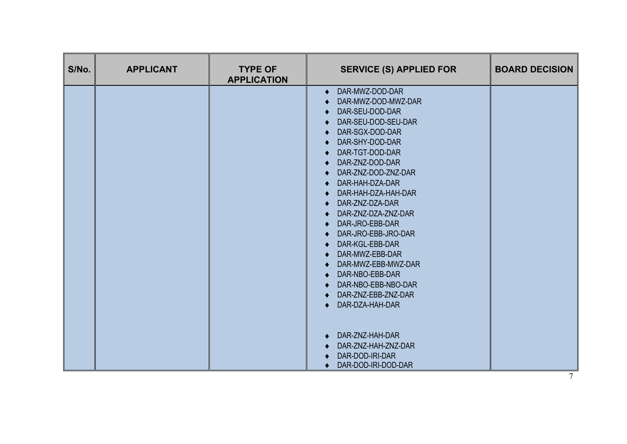| S/No. | <b>APPLICANT</b> | <b>TYPE OF</b><br><b>APPLICATION</b> | <b>SERVICE (S) APPLIED FOR</b>     | <b>BOARD DECISION</b> |
|-------|------------------|--------------------------------------|------------------------------------|-----------------------|
|       |                  |                                      | DAR-MWZ-DOD-DAR                    |                       |
|       |                  |                                      | DAR-MWZ-DOD-MWZ-DAR                |                       |
|       |                  |                                      | DAR-SEU-DOD-DAR                    |                       |
|       |                  |                                      | DAR-SEU-DOD-SEU-DAR                |                       |
|       |                  |                                      | DAR-SGX-DOD-DAR                    |                       |
|       |                  |                                      | DAR-SHY-DOD-DAR                    |                       |
|       |                  |                                      | DAR-TGT-DOD-DAR                    |                       |
|       |                  |                                      | DAR-ZNZ-DOD-DAR                    |                       |
|       |                  |                                      | DAR-ZNZ-DOD-ZNZ-DAR                |                       |
|       |                  |                                      | DAR-HAH-DZA-DAR                    |                       |
|       |                  |                                      | DAR-HAH-DZA-HAH-DAR                |                       |
|       |                  |                                      | DAR-ZNZ-DZA-DAR                    |                       |
|       |                  |                                      | DAR-ZNZ-DZA-ZNZ-DAR                |                       |
|       |                  |                                      | DAR-JRO-EBB-DAR                    |                       |
|       |                  |                                      | DAR-JRO-EBB-JRO-DAR                |                       |
|       |                  |                                      | DAR-KGL-EBB-DAR<br>DAR-MWZ-EBB-DAR |                       |
|       |                  |                                      | DAR-MWZ-EBB-MWZ-DAR                |                       |
|       |                  |                                      | DAR-NBO-EBB-DAR                    |                       |
|       |                  |                                      | DAR-NBO-EBB-NBO-DAR                |                       |
|       |                  |                                      | DAR-ZNZ-EBB-ZNZ-DAR                |                       |
|       |                  |                                      | DAR-DZA-HAH-DAR                    |                       |
|       |                  |                                      |                                    |                       |
|       |                  |                                      | DAR-ZNZ-HAH-DAR                    |                       |
|       |                  |                                      | DAR-ZNZ-HAH-ZNZ-DAR                |                       |
|       |                  |                                      | DAR-DOD-IRI-DAR                    |                       |
|       |                  |                                      | DAR-DOD-IRI-DOD-DAR                |                       |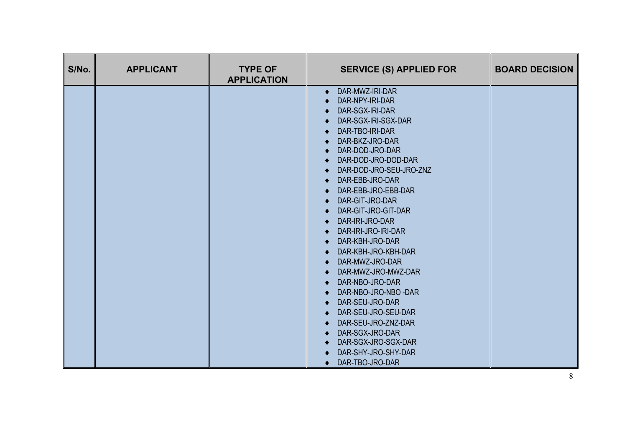| S/No. | <b>TYPE OF</b><br><b>APPLICANT</b><br><b>APPLICATION</b> | <b>SERVICE (S) APPLIED FOR</b>                                                                                                                                                                                                                                                                                                                                                                                                                                                                                                                                                                                                      | <b>BOARD DECISION</b> |
|-------|----------------------------------------------------------|-------------------------------------------------------------------------------------------------------------------------------------------------------------------------------------------------------------------------------------------------------------------------------------------------------------------------------------------------------------------------------------------------------------------------------------------------------------------------------------------------------------------------------------------------------------------------------------------------------------------------------------|-----------------------|
|       |                                                          | DAR-MWZ-IRI-DAR<br>$\bullet$<br>DAR-NPY-IRI-DAR<br>DAR-SGX-IRI-DAR<br>DAR-SGX-IRI-SGX-DAR<br>DAR-TBO-IRI-DAR<br>DAR-BKZ-JRO-DAR<br>DAR-DOD-JRO-DAR<br>DAR-DOD-JRO-DOD-DAR<br>DAR-DOD-JRO-SEU-JRO-ZNZ<br>DAR-EBB-JRO-DAR<br>DAR-EBB-JRO-EBB-DAR<br>DAR-GIT-JRO-DAR<br>DAR-GIT-JRO-GIT-DAR<br>DAR-IRI-JRO-DAR<br>DAR-IRI-JRO-IRI-DAR<br>DAR-KBH-JRO-DAR<br>DAR-KBH-JRO-KBH-DAR<br>DAR-MWZ-JRO-DAR<br>DAR-MWZ-JRO-MWZ-DAR<br>DAR-NBO-JRO-DAR<br>DAR-NBO-JRO-NBO -DAR<br>DAR-SEU-JRO-DAR<br>DAR-SEU-JRO-SEU-DAR<br>DAR-SEU-JRO-ZNZ-DAR<br>DAR-SGX-JRO-DAR<br>DAR-SGX-JRO-SGX-DAR<br>DAR-SHY-JRO-SHY-DAR<br>DAR-TBO-JRO-DAR<br>$\bullet$ |                       |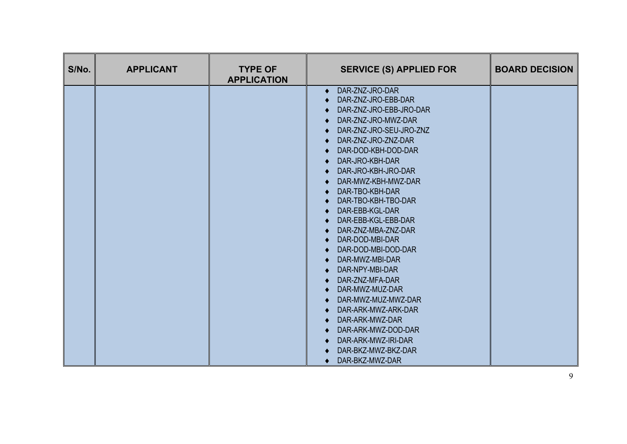| S/No. | <b>APPLICANT</b> | <b>TYPE OF</b><br><b>APPLICATION</b> | <b>SERVICE (S) APPLIED FOR</b>                                                                                                                                                                                                                                                                                                                                                                                                                                                                                                                                                                                                                                      | <b>BOARD DECISION</b> |
|-------|------------------|--------------------------------------|---------------------------------------------------------------------------------------------------------------------------------------------------------------------------------------------------------------------------------------------------------------------------------------------------------------------------------------------------------------------------------------------------------------------------------------------------------------------------------------------------------------------------------------------------------------------------------------------------------------------------------------------------------------------|-----------------------|
|       |                  |                                      | DAR-ZNZ-JRO-DAR<br>$\bullet$<br>DAR-ZNZ-JRO-EBB-DAR<br>DAR-ZNZ-JRO-EBB-JRO-DAR<br>DAR-ZNZ-JRO-MWZ-DAR<br>DAR-ZNZ-JRO-SEU-JRO-ZNZ<br>DAR-ZNZ-JRO-ZNZ-DAR<br>DAR-DOD-KBH-DOD-DAR<br>DAR-JRO-KBH-DAR<br>$\bullet$<br>DAR-JRO-KBH-JRO-DAR<br>DAR-MWZ-KBH-MWZ-DAR<br>DAR-TBO-KBH-DAR<br>DAR-TBO-KBH-TBO-DAR<br>DAR-EBB-KGL-DAR<br>DAR-EBB-KGL-EBB-DAR<br>DAR-ZNZ-MBA-ZNZ-DAR<br>DAR-DOD-MBI-DAR<br>DAR-DOD-MBI-DOD-DAR<br>DAR-MWZ-MBI-DAR<br>DAR-NPY-MBI-DAR<br>DAR-ZNZ-MFA-DAR<br>DAR-MWZ-MUZ-DAR<br>DAR-MWZ-MUZ-MWZ-DAR<br>DAR-ARK-MWZ-ARK-DAR<br>DAR-ARK-MWZ-DAR<br>DAR-ARK-MWZ-DOD-DAR<br>DAR-ARK-MWZ-IRI-DAR<br>DAR-BKZ-MWZ-BKZ-DAR<br>DAR-BKZ-MWZ-DAR<br>$\bullet$ |                       |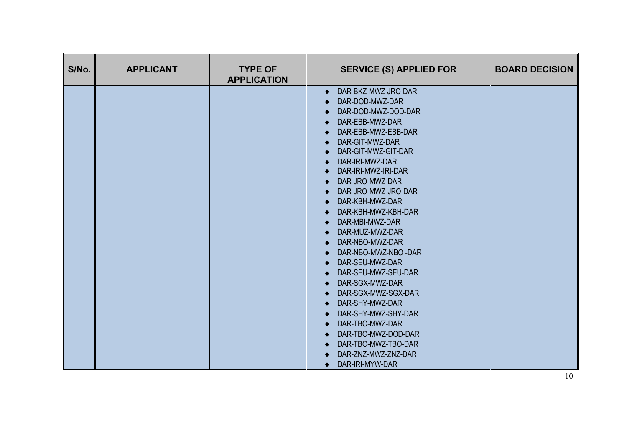| S/No. | <b>APPLICANT</b> | <b>TYPE OF</b><br><b>APPLICATION</b> | <b>SERVICE (S) APPLIED FOR</b>                                                                                                                                                                                                                                                                                                                                                                                                                                                                                                                                                                                         | <b>BOARD DECISION</b> |
|-------|------------------|--------------------------------------|------------------------------------------------------------------------------------------------------------------------------------------------------------------------------------------------------------------------------------------------------------------------------------------------------------------------------------------------------------------------------------------------------------------------------------------------------------------------------------------------------------------------------------------------------------------------------------------------------------------------|-----------------------|
|       |                  |                                      | DAR-BKZ-MWZ-JRO-DAR<br>$\bullet$<br>DAR-DOD-MWZ-DAR<br>DAR-DOD-MWZ-DOD-DAR<br>DAR-EBB-MWZ-DAR<br>DAR-EBB-MWZ-EBB-DAR<br>DAR-GIT-MWZ-DAR<br>DAR-GIT-MWZ-GIT-DAR<br>DAR-IRI-MWZ-DAR<br>DAR-IRI-MWZ-IRI-DAR<br>DAR-JRO-MWZ-DAR<br>DAR-JRO-MWZ-JRO-DAR<br>DAR-KBH-MWZ-DAR<br>DAR-KBH-MWZ-KBH-DAR<br>DAR-MBI-MWZ-DAR<br>DAR-MUZ-MWZ-DAR<br>DAR-NBO-MWZ-DAR<br>DAR-NBO-MWZ-NBO -DAR<br>DAR-SEU-MWZ-DAR<br>DAR-SEU-MWZ-SEU-DAR<br>DAR-SGX-MWZ-DAR<br>DAR-SGX-MWZ-SGX-DAR<br>DAR-SHY-MWZ-DAR<br>DAR-SHY-MWZ-SHY-DAR<br>DAR-TBO-MWZ-DAR<br>DAR-TBO-MWZ-DOD-DAR<br>DAR-TBO-MWZ-TBO-DAR<br>DAR-ZNZ-MWZ-ZNZ-DAR<br>DAR-IRI-MYW-DAR |                       |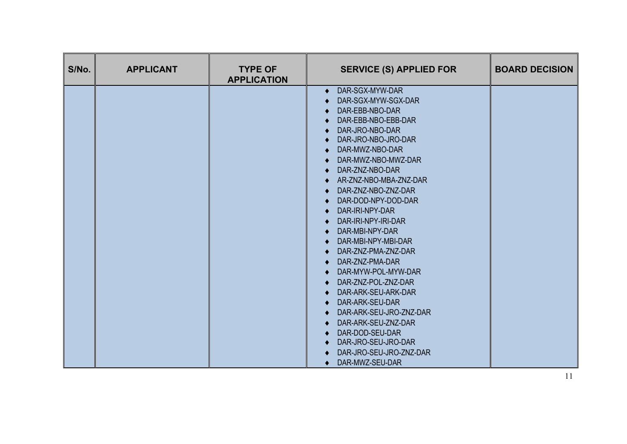| S/No. | <b>TYPE OF</b><br><b>APPLICANT</b><br><b>APPLICATION</b> | <b>SERVICE (S) APPLIED FOR</b>                                                                                                                                                                                                                                                                                                                                                                                                                                                                                                                                                                                                                                                      | <b>BOARD DECISION</b> |
|-------|----------------------------------------------------------|-------------------------------------------------------------------------------------------------------------------------------------------------------------------------------------------------------------------------------------------------------------------------------------------------------------------------------------------------------------------------------------------------------------------------------------------------------------------------------------------------------------------------------------------------------------------------------------------------------------------------------------------------------------------------------------|-----------------------|
|       |                                                          | DAR-SGX-MYW-DAR<br>$\bullet$<br>DAR-SGX-MYW-SGX-DAR<br>DAR-EBB-NBO-DAR<br>DAR-EBB-NBO-EBB-DAR<br>DAR-JRO-NBO-DAR<br>DAR-JRO-NBO-JRO-DAR<br>DAR-MWZ-NBO-DAR<br>DAR-MWZ-NBO-MWZ-DAR<br>DAR-ZNZ-NBO-DAR<br>$\bullet$<br>AR-ZNZ-NBO-MBA-ZNZ-DAR<br>DAR-ZNZ-NBO-ZNZ-DAR<br>DAR-DOD-NPY-DOD-DAR<br>DAR-IRI-NPY-DAR<br>DAR-IRI-NPY-IRI-DAR<br>DAR-MBI-NPY-DAR<br>$\bullet$<br>DAR-MBI-NPY-MBI-DAR<br>DAR-ZNZ-PMA-ZNZ-DAR<br>DAR-ZNZ-PMA-DAR<br>DAR-MYW-POL-MYW-DAR<br>DAR-ZNZ-POL-ZNZ-DAR<br>DAR-ARK-SEU-ARK-DAR<br>DAR-ARK-SEU-DAR<br>DAR-ARK-SEU-JRO-ZNZ-DAR<br>DAR-ARK-SEU-ZNZ-DAR<br>DAR-DOD-SEU-DAR<br>DAR-JRO-SEU-JRO-DAR<br>DAR-JRO-SEU-JRO-ZNZ-DAR<br>DAR-MWZ-SEU-DAR<br>$\bullet$ |                       |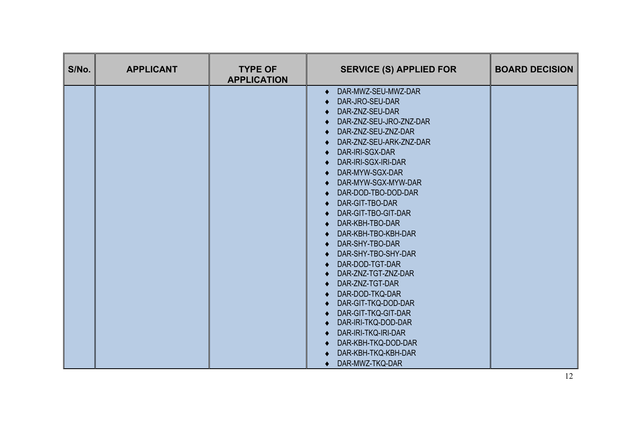| S/No. | <b>APPLICANT</b> | <b>TYPE OF</b><br><b>APPLICATION</b> | <b>SERVICE (S) APPLIED FOR</b>                                                                                                                                                                                                                                                                                                                                                                                                                                                                                                                                                                                                                         | <b>BOARD DECISION</b> |
|-------|------------------|--------------------------------------|--------------------------------------------------------------------------------------------------------------------------------------------------------------------------------------------------------------------------------------------------------------------------------------------------------------------------------------------------------------------------------------------------------------------------------------------------------------------------------------------------------------------------------------------------------------------------------------------------------------------------------------------------------|-----------------------|
|       |                  |                                      | DAR-MWZ-SEU-MWZ-DAR<br>$\bullet$<br>DAR-JRO-SEU-DAR<br>DAR-ZNZ-SEU-DAR<br>DAR-ZNZ-SEU-JRO-ZNZ-DAR<br>DAR-ZNZ-SEU-ZNZ-DAR<br>DAR-ZNZ-SEU-ARK-ZNZ-DAR<br>DAR-IRI-SGX-DAR<br>DAR-IRI-SGX-IRI-DAR<br>DAR-MYW-SGX-DAR<br>DAR-MYW-SGX-MYW-DAR<br>DAR-DOD-TBO-DOD-DAR<br>DAR-GIT-TBO-DAR<br>DAR-GIT-TBO-GIT-DAR<br>DAR-KBH-TBO-DAR<br>DAR-KBH-TBO-KBH-DAR<br>DAR-SHY-TBO-DAR<br>DAR-SHY-TBO-SHY-DAR<br>DAR-DOD-TGT-DAR<br>DAR-ZNZ-TGT-ZNZ-DAR<br>DAR-ZNZ-TGT-DAR<br>DAR-DOD-TKQ-DAR<br>DAR-GIT-TKQ-DOD-DAR<br>DAR-GIT-TKQ-GIT-DAR<br>DAR-IRI-TKQ-DOD-DAR<br>DAR-IRI-TKQ-IRI-DAR<br>DAR-KBH-TKQ-DOD-DAR<br>DAR-KBH-TKQ-KBH-DAR<br>DAR-MWZ-TKQ-DAR<br>$\bullet$ |                       |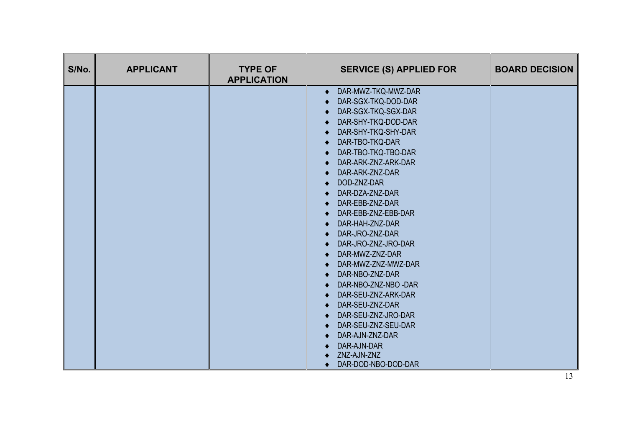| S/No. | <b>APPLICANT</b> | <b>TYPE OF</b><br><b>APPLICATION</b> | <b>SERVICE (S) APPLIED FOR</b>                                                                                                                                                                                                                                                                                                                                                                                                                                                                                                                                                                                 | <b>BOARD DECISION</b> |
|-------|------------------|--------------------------------------|----------------------------------------------------------------------------------------------------------------------------------------------------------------------------------------------------------------------------------------------------------------------------------------------------------------------------------------------------------------------------------------------------------------------------------------------------------------------------------------------------------------------------------------------------------------------------------------------------------------|-----------------------|
|       |                  |                                      | DAR-MWZ-TKQ-MWZ-DAR<br>$\bullet$<br>DAR-SGX-TKQ-DOD-DAR<br>DAR-SGX-TKQ-SGX-DAR<br>DAR-SHY-TKQ-DOD-DAR<br>DAR-SHY-TKQ-SHY-DAR<br>DAR-TBO-TKQ-DAR<br>DAR-TBO-TKQ-TBO-DAR<br>DAR-ARK-ZNZ-ARK-DAR<br>DAR-ARK-ZNZ-DAR<br>DOD-ZNZ-DAR<br>DAR-DZA-ZNZ-DAR<br>DAR-EBB-ZNZ-DAR<br>DAR-EBB-ZNZ-EBB-DAR<br>DAR-HAH-ZNZ-DAR<br>DAR-JRO-ZNZ-DAR<br>DAR-JRO-ZNZ-JRO-DAR<br>DAR-MWZ-ZNZ-DAR<br>DAR-MWZ-ZNZ-MWZ-DAR<br>DAR-NBO-ZNZ-DAR<br>DAR-NBO-ZNZ-NBO -DAR<br>DAR-SEU-ZNZ-ARK-DAR<br>DAR-SEU-ZNZ-DAR<br>DAR-SEU-ZNZ-JRO-DAR<br>DAR-SEU-ZNZ-SEU-DAR<br>DAR-AJN-ZNZ-DAR<br>DAR-AJN-DAR<br>ZNZ-AJN-ZNZ<br>DAR-DOD-NBO-DOD-DAR |                       |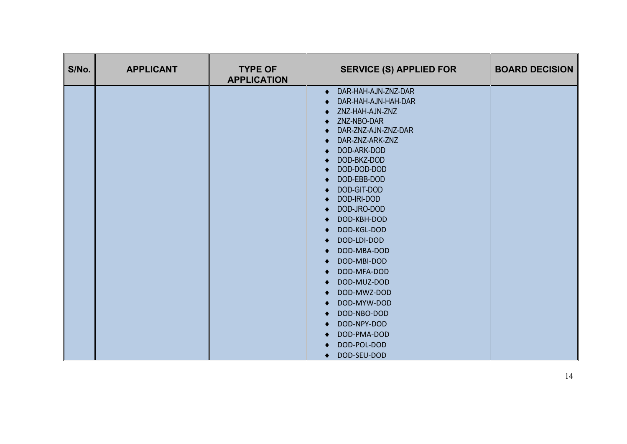| S/No. | <b>APPLICANT</b> | <b>TYPE OF</b><br><b>APPLICATION</b> | <b>SERVICE (S) APPLIED FOR</b>   | <b>BOARD DECISION</b> |
|-------|------------------|--------------------------------------|----------------------------------|-----------------------|
|       |                  |                                      | DAR-HAH-AJN-ZNZ-DAR<br>$\bullet$ |                       |
|       |                  |                                      | DAR-HAH-AJN-HAH-DAR              |                       |
|       |                  |                                      | ZNZ-HAH-AJN-ZNZ                  |                       |
|       |                  |                                      | ZNZ-NBO-DAR                      |                       |
|       |                  |                                      | DAR-ZNZ-AJN-ZNZ-DAR              |                       |
|       |                  |                                      | DAR-ZNZ-ARK-ZNZ                  |                       |
|       |                  |                                      | DOD-ARK-DOD                      |                       |
|       |                  |                                      | DOD-BKZ-DOD<br>DOD-DOD-DOD       |                       |
|       |                  |                                      | DOD-EBB-DOD                      |                       |
|       |                  |                                      | DOD-GIT-DOD                      |                       |
|       |                  |                                      | DOD-IRI-DOD                      |                       |
|       |                  |                                      | DOD-JRO-DOD                      |                       |
|       |                  |                                      | DOD-KBH-DOD                      |                       |
|       |                  |                                      | DOD-KGL-DOD                      |                       |
|       |                  |                                      | DOD-LDI-DOD                      |                       |
|       |                  |                                      | DOD-MBA-DOD                      |                       |
|       |                  |                                      | DOD-MBI-DOD                      |                       |
|       |                  |                                      | DOD-MFA-DOD                      |                       |
|       |                  |                                      | DOD-MUZ-DOD                      |                       |
|       |                  |                                      | DOD-MWZ-DOD                      |                       |
|       |                  |                                      | DOD-MYW-DOD                      |                       |
|       |                  |                                      | DOD-NBO-DOD                      |                       |
|       |                  |                                      | DOD-NPY-DOD                      |                       |
|       |                  |                                      | DOD-PMA-DOD                      |                       |
|       |                  |                                      | DOD-POL-DOD                      |                       |
|       |                  |                                      | DOD-SEU-DOD                      |                       |
|       |                  |                                      | ٠                                |                       |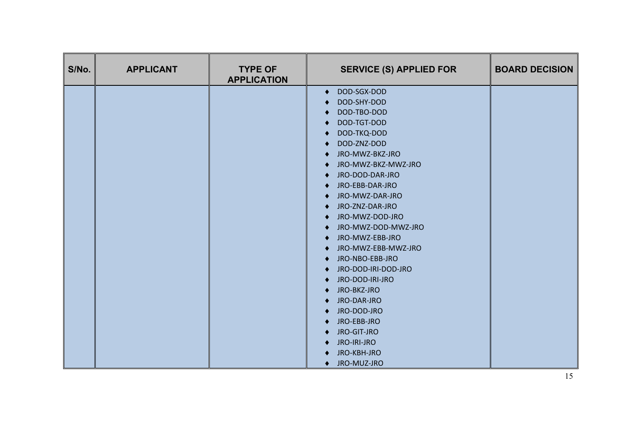| S/No. | <b>APPLICANT</b> | <b>TYPE OF</b><br><b>APPLICATION</b> | <b>SERVICE (S) APPLIED FOR</b> | <b>BOARD DECISION</b> |
|-------|------------------|--------------------------------------|--------------------------------|-----------------------|
|       |                  |                                      | DOD-SGX-DOD<br>٠               |                       |
|       |                  |                                      | DOD-SHY-DOD                    |                       |
|       |                  |                                      | DOD-TBO-DOD                    |                       |
|       |                  |                                      | DOD-TGT-DOD                    |                       |
|       |                  |                                      | DOD-TKQ-DOD                    |                       |
|       |                  |                                      | DOD-ZNZ-DOD                    |                       |
|       |                  |                                      | JRO-MWZ-BKZ-JRO                |                       |
|       |                  |                                      | JRO-MWZ-BKZ-MWZ-JRO<br>٠       |                       |
|       |                  |                                      | JRO-DOD-DAR-JRO                |                       |
|       |                  |                                      | JRO-EBB-DAR-JRO<br>٠           |                       |
|       |                  |                                      | JRO-MWZ-DAR-JRO                |                       |
|       |                  |                                      | JRO-ZNZ-DAR-JRO<br>٠           |                       |
|       |                  |                                      | JRO-MWZ-DOD-JRO<br>٠           |                       |
|       |                  |                                      | JRO-MWZ-DOD-MWZ-JRO            |                       |
|       |                  |                                      | JRO-MWZ-EBB-JRO<br>$\bullet$   |                       |
|       |                  |                                      | JRO-MWZ-EBB-MWZ-JRO            |                       |
|       |                  |                                      | JRO-NBO-EBB-JRO<br>٠           |                       |
|       |                  |                                      | JRO-DOD-IRI-DOD-JRO            |                       |
|       |                  |                                      | JRO-DOD-IRI-JRO<br>٠           |                       |
|       |                  |                                      | JRO-BKZ-JRO                    |                       |
|       |                  |                                      | JRO-DAR-JRO<br>٠               |                       |
|       |                  |                                      | JRO-DOD-JRO                    |                       |
|       |                  |                                      | JRO-EBB-JRO<br>٠               |                       |
|       |                  |                                      | JRO-GIT-JRO                    |                       |
|       |                  |                                      | JRO-IRI-JRO<br>٠               |                       |
|       |                  |                                      | JRO-KBH-JRO                    |                       |
|       |                  |                                      | ♦ JRO-MUZ-JRO                  |                       |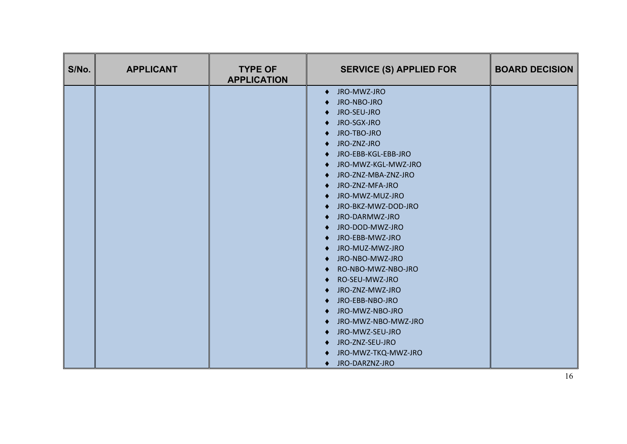| S/No. | <b>APPLICANT</b> | <b>TYPE OF</b><br><b>APPLICATION</b> | <b>SERVICE (S) APPLIED FOR</b> | <b>BOARD DECISION</b> |
|-------|------------------|--------------------------------------|--------------------------------|-----------------------|
|       |                  |                                      | ♦ JRO-MWZ-JRO                  |                       |
|       |                  |                                      | JRO-NBO-JRO                    |                       |
|       |                  |                                      | JRO-SEU-JRO                    |                       |
|       |                  |                                      | JRO-SGX-JRO<br>$\bullet$       |                       |
|       |                  |                                      | JRO-TBO-JRO                    |                       |
|       |                  |                                      | JRO-ZNZ-JRO<br>٠               |                       |
|       |                  |                                      | JRO-EBB-KGL-EBB-JRO            |                       |
|       |                  |                                      | JRO-MWZ-KGL-MWZ-JRO<br>٠       |                       |
|       |                  |                                      | JRO-ZNZ-MBA-ZNZ-JRO            |                       |
|       |                  |                                      | JRO-ZNZ-MFA-JRO<br>٠           |                       |
|       |                  |                                      | JRO-MWZ-MUZ-JRO                |                       |
|       |                  |                                      | JRO-BKZ-MWZ-DOD-JRO<br>٠       |                       |
|       |                  |                                      | JRO-DARMWZ-JRO<br>٠            |                       |
|       |                  |                                      | JRO-DOD-MWZ-JRO                |                       |
|       |                  |                                      | JRO-EBB-MWZ-JRO<br>٠           |                       |
|       |                  |                                      | JRO-MUZ-MWZ-JRO                |                       |
|       |                  |                                      | JRO-NBO-MWZ-JRO<br>$\bullet$   |                       |
|       |                  |                                      | RO-NBO-MWZ-NBO-JRO             |                       |
|       |                  |                                      | RO-SEU-MWZ-JRO                 |                       |
|       |                  |                                      | JRO-ZNZ-MWZ-JRO                |                       |
|       |                  |                                      | JRO-EBB-NBO-JRO                |                       |
|       |                  |                                      | JRO-MWZ-NBO-JRO                |                       |
|       |                  |                                      | JRO-MWZ-NBO-MWZ-JRO<br>٠       |                       |
|       |                  |                                      | JRO-MWZ-SEU-JRO                |                       |
|       |                  |                                      | JRO-ZNZ-SEU-JRO<br>٠           |                       |
|       |                  |                                      | JRO-MWZ-TKQ-MWZ-JRO            |                       |
|       |                  |                                      | ♦ JRO-DARZNZ-JRO               |                       |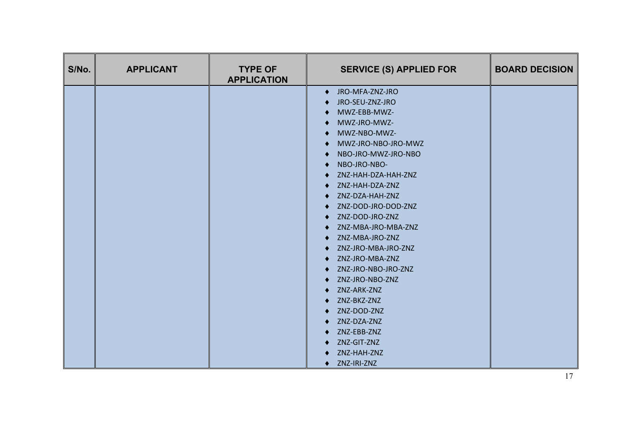| S/No. | <b>APPLICANT</b> | <b>TYPE OF</b><br><b>APPLICATION</b> | <b>SERVICE (S) APPLIED FOR</b> | <b>BOARD DECISION</b> |
|-------|------------------|--------------------------------------|--------------------------------|-----------------------|
|       |                  |                                      | ♦ JRO-MFA-ZNZ-JRO              |                       |
|       |                  |                                      | JRO-SEU-ZNZ-JRO                |                       |
|       |                  |                                      | MWZ-EBB-MWZ-                   |                       |
|       |                  |                                      | MWZ-JRO-MWZ-                   |                       |
|       |                  |                                      | MWZ-NBO-MWZ-                   |                       |
|       |                  |                                      | MWZ-JRO-NBO-JRO-MWZ            |                       |
|       |                  |                                      | NBO-JRO-MWZ-JRO-NBO            |                       |
|       |                  |                                      | NBO-JRO-NBO-                   |                       |
|       |                  |                                      | ZNZ-HAH-DZA-HAH-ZNZ            |                       |
|       |                  |                                      | ZNZ-HAH-DZA-ZNZ                |                       |
|       |                  |                                      | ZNZ-DZA-HAH-ZNZ                |                       |
|       |                  |                                      | ZNZ-DOD-JRO-DOD-ZNZ            |                       |
|       |                  |                                      | ZNZ-DOD-JRO-ZNZ                |                       |
|       |                  |                                      | ZNZ-MBA-JRO-MBA-ZNZ            |                       |
|       |                  |                                      | ZNZ-MBA-JRO-ZNZ                |                       |
|       |                  |                                      | ZNZ-JRO-MBA-JRO-ZNZ            |                       |
|       |                  |                                      | ZNZ-JRO-MBA-ZNZ                |                       |
|       |                  |                                      | ZNZ-JRO-NBO-JRO-ZNZ            |                       |
|       |                  |                                      | ZNZ-JRO-NBO-ZNZ                |                       |
|       |                  |                                      | ZNZ-ARK-ZNZ                    |                       |
|       |                  |                                      | ZNZ-BKZ-ZNZ                    |                       |
|       |                  |                                      | ZNZ-DOD-ZNZ                    |                       |
|       |                  |                                      | ZNZ-DZA-ZNZ                    |                       |
|       |                  |                                      | ZNZ-EBB-ZNZ                    |                       |
|       |                  |                                      | ZNZ-GIT-ZNZ<br>٠               |                       |
|       |                  |                                      | ZNZ-HAH-ZNZ                    |                       |
|       |                  |                                      | ♦ ZNZ-IRI-ZNZ                  |                       |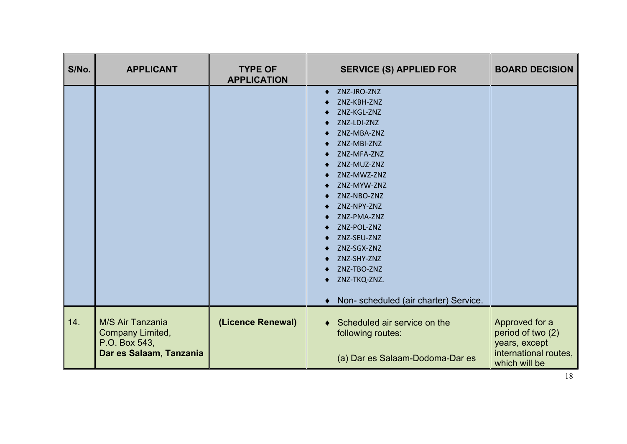| S/No. | <b>APPLICANT</b>                                                                 | <b>TYPE OF</b><br><b>APPLICATION</b> | <b>SERVICE (S) APPLIED FOR</b>                                                                                                                                                                                                                                                                                                                                                         | <b>BOARD DECISION</b>                                                                          |
|-------|----------------------------------------------------------------------------------|--------------------------------------|----------------------------------------------------------------------------------------------------------------------------------------------------------------------------------------------------------------------------------------------------------------------------------------------------------------------------------------------------------------------------------------|------------------------------------------------------------------------------------------------|
|       |                                                                                  |                                      | ZNZ-JRO-ZNZ<br>$\bullet$<br>ZNZ-KBH-ZNZ<br>ZNZ-KGL-ZNZ<br>ZNZ-LDI-ZNZ<br>٠<br>ZNZ-MBA-ZNZ<br>ZNZ-MBI-ZNZ<br>ZNZ-MFA-ZNZ<br>ZNZ-MUZ-ZNZ<br>٠<br>ZNZ-MWZ-ZNZ<br>ZNZ-MYW-ZNZ<br>ZNZ-NBO-ZNZ<br>ZNZ-NPY-ZNZ<br>ZNZ-PMA-ZNZ<br>٠<br>ZNZ-POL-ZNZ<br>ZNZ-SEU-ZNZ<br>ZNZ-SGX-ZNZ<br>ZNZ-SHY-ZNZ<br>٠<br>ZNZ-TBO-ZNZ<br>ZNZ-TKQ-ZNZ.<br>٠<br>Non- scheduled (air charter) Service.<br>$\bullet$ |                                                                                                |
| 14.   | M/S Air Tanzania<br>Company Limited,<br>P.O. Box 543,<br>Dar es Salaam, Tanzania | (Licence Renewal)                    | Scheduled air service on the<br>$\bullet$<br>following routes:<br>(a) Dar es Salaam-Dodoma-Dar es                                                                                                                                                                                                                                                                                      | Approved for a<br>period of two (2)<br>years, except<br>international routes,<br>which will be |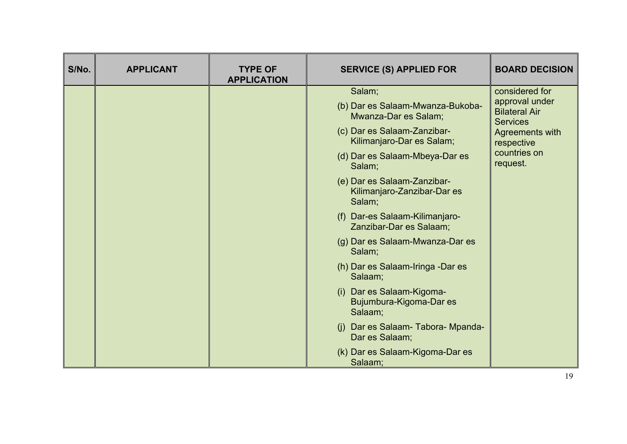| considered for<br>Salam;<br>approval under<br>(b) Dar es Salaam-Mwanza-Bukoba-<br><b>Bilateral Air</b><br>Mwanza-Dar es Salam;<br><b>Services</b><br>(c) Dar es Salaam-Zanzibar-<br>Agreements with<br>Kilimanjaro-Dar es Salam;<br>respective<br>countries on<br>(d) Dar es Salaam-Mbeya-Dar es<br>request.<br>Salam;<br>(e) Dar es Salaam-Zanzibar-<br>Kilimanjaro-Zanzibar-Dar es<br>Salam;<br>(f) Dar-es Salaam-Kilimanjaro-<br>Zanzibar-Dar es Salaam;<br>(g) Dar es Salaam-Mwanza-Dar es<br>Salam;<br>(h) Dar es Salaam-Iringa -Dar es<br>Salaam;<br>(i) Dar es Salaam-Kigoma-<br>Bujumbura-Kigoma-Dar es<br>Salaam;<br>(j) Dar es Salaam- Tabora- Mpanda-<br>Dar es Salaam;<br>(k) Dar es Salaam-Kigoma-Dar es | S/No. | <b>APPLICANT</b> | <b>TYPE OF</b><br><b>APPLICATION</b> | <b>SERVICE (S) APPLIED FOR</b> | <b>BOARD DECISION</b> |
|-----------------------------------------------------------------------------------------------------------------------------------------------------------------------------------------------------------------------------------------------------------------------------------------------------------------------------------------------------------------------------------------------------------------------------------------------------------------------------------------------------------------------------------------------------------------------------------------------------------------------------------------------------------------------------------------------------------------------|-------|------------------|--------------------------------------|--------------------------------|-----------------------|
|                                                                                                                                                                                                                                                                                                                                                                                                                                                                                                                                                                                                                                                                                                                       |       |                  |                                      |                                |                       |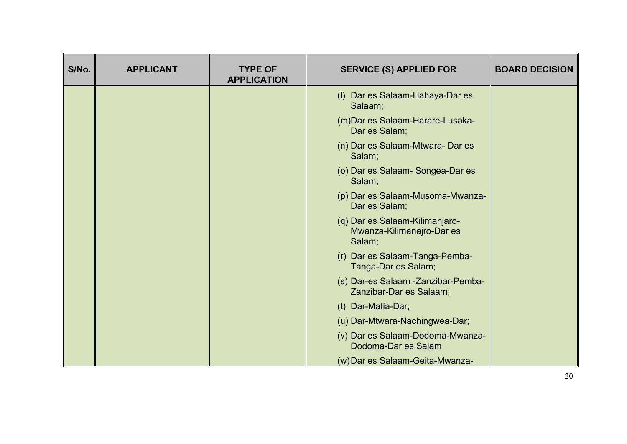| S/No. | <b>APPLICANT</b> | <b>TYPE OF</b><br><b>APPLICATION</b> | <b>SERVICE (S) APPLIED FOR</b>                                        | <b>BOARD DECISION</b> |
|-------|------------------|--------------------------------------|-----------------------------------------------------------------------|-----------------------|
|       |                  |                                      | (I) Dar es Salaam-Hahaya-Dar es<br>Salaam;                            |                       |
|       |                  |                                      | (m) Dar es Salaam-Harare-Lusaka-<br>Dar es Salam;                     |                       |
|       |                  |                                      | (n) Dar es Salaam-Mtwara-Dar es<br>Salam;                             |                       |
|       |                  |                                      | (o) Dar es Salaam-Songea-Dar es<br>Salam;                             |                       |
|       |                  |                                      | (p) Dar es Salaam-Musoma-Mwanza-<br>Dar es Salam;                     |                       |
|       |                  |                                      | (q) Dar es Salaam-Kilimanjaro-<br>Mwanza-Kilimanajro-Dar es<br>Salam; |                       |
|       |                  |                                      | (r) Dar es Salaam-Tanga-Pemba-<br>Tanga-Dar es Salam;                 |                       |
|       |                  |                                      | (s) Dar-es Salaam -Zanzibar-Pemba-<br>Zanzibar-Dar es Salaam;         |                       |
|       |                  |                                      | (t) Dar-Mafia-Dar;                                                    |                       |
|       |                  |                                      | (u) Dar-Mtwara-Nachingwea-Dar;                                        |                       |
|       |                  |                                      | (v) Dar es Salaam-Dodoma-Mwanza-<br>Dodoma-Dar es Salam               |                       |
|       |                  |                                      | (w) Dar es Salaam-Geita-Mwanza-                                       |                       |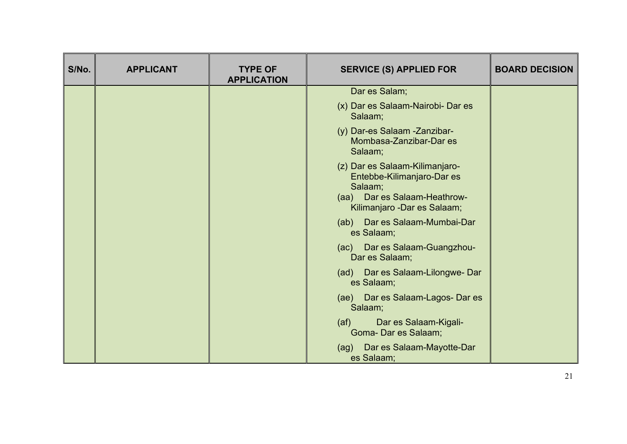| S/No. | <b>APPLICANT</b> | <b>TYPE OF</b><br><b>APPLICATION</b> | <b>SERVICE (S) APPLIED FOR</b>                                                                                                          | <b>BOARD DECISION</b> |
|-------|------------------|--------------------------------------|-----------------------------------------------------------------------------------------------------------------------------------------|-----------------------|
|       |                  |                                      | Dar es Salam;                                                                                                                           |                       |
|       |                  |                                      | (x) Dar es Salaam-Nairobi- Dar es<br>Salaam;                                                                                            |                       |
|       |                  |                                      | (y) Dar-es Salaam -Zanzibar-<br>Mombasa-Zanzibar-Dar es<br>Salaam;                                                                      |                       |
|       |                  |                                      | (z) Dar es Salaam-Kilimanjaro-<br>Entebbe-Kilimanjaro-Dar es<br>Salaam;<br>(aa) Dar es Salaam-Heathrow-<br>Kilimanjaro - Dar es Salaam; |                       |
|       |                  |                                      | (ab) Dar es Salaam-Mumbai-Dar<br>es Salaam;                                                                                             |                       |
|       |                  |                                      | (ac) Dar es Salaam-Guangzhou-<br>Dar es Salaam;                                                                                         |                       |
|       |                  |                                      | (ad) Dar es Salaam-Lilongwe-Dar<br>es Salaam;                                                                                           |                       |
|       |                  |                                      | (ae) Dar es Salaam-Lagos- Dar es<br>Salaam;                                                                                             |                       |
|       |                  |                                      | Dar es Salaam-Kigali-<br>(a f)<br>Goma- Dar es Salaam;                                                                                  |                       |
|       |                  |                                      | (ag) Dar es Salaam-Mayotte-Dar<br>es Salaam;                                                                                            |                       |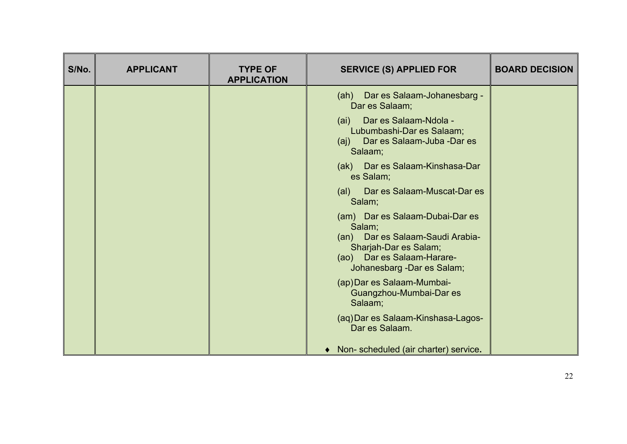| S/No. | <b>APPLICANT</b> | <b>TYPE OF</b><br><b>APPLICATION</b> | <b>SERVICE (S) APPLIED FOR</b>                                                                                                                                     | <b>BOARD DECISION</b> |
|-------|------------------|--------------------------------------|--------------------------------------------------------------------------------------------------------------------------------------------------------------------|-----------------------|
|       |                  |                                      | (ah) Dar es Salaam-Johanesbarg -<br>Dar es Salaam;                                                                                                                 |                       |
|       |                  |                                      | (ai) Dar es Salaam-Ndola -<br>Lubumbashi-Dar es Salaam;<br>(aj) Dar es Salaam-Juba -Dar es<br>Salaam;                                                              |                       |
|       |                  |                                      | (ak) Dar es Salaam-Kinshasa-Dar<br>es Salam;                                                                                                                       |                       |
|       |                  |                                      | (al) Dar es Salaam-Muscat-Dar es<br>Salam;                                                                                                                         |                       |
|       |                  |                                      | (am) Dar es Salaam-Dubai-Dar es<br>Salam;<br>(an) Dar es Salaam-Saudi Arabia-<br>Sharjah-Dar es Salam;<br>(ao) Dar es Salaam-Harare-<br>Johanesbarg -Dar es Salam; |                       |
|       |                  |                                      | (ap) Dar es Salaam-Mumbai-<br>Guangzhou-Mumbai-Dar es<br>Salaam;                                                                                                   |                       |
|       |                  |                                      | (aq) Dar es Salaam-Kinshasa-Lagos-<br>Dar es Salaam.                                                                                                               |                       |
|       |                  |                                      | • Non- scheduled (air charter) service.                                                                                                                            |                       |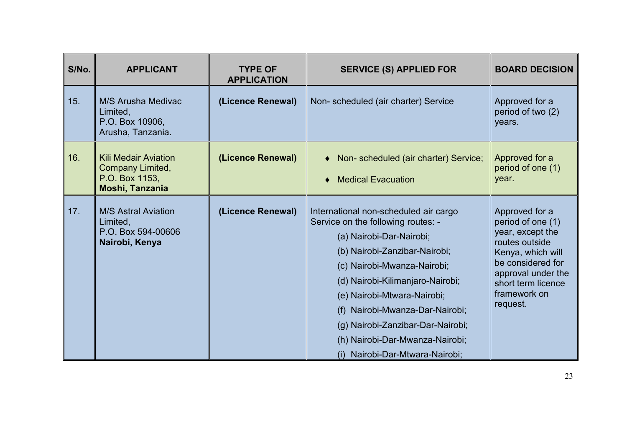| S/No. | <b>APPLICANT</b>                                                                     | <b>TYPE OF</b><br><b>APPLICATION</b> | <b>SERVICE (S) APPLIED FOR</b>                                                                                                                                                                                                                                                                                                                                                           | <b>BOARD DECISION</b>                                                                                                                                                                       |
|-------|--------------------------------------------------------------------------------------|--------------------------------------|------------------------------------------------------------------------------------------------------------------------------------------------------------------------------------------------------------------------------------------------------------------------------------------------------------------------------------------------------------------------------------------|---------------------------------------------------------------------------------------------------------------------------------------------------------------------------------------------|
| 15.   | M/S Arusha Medivac<br>Limited,<br>P.O. Box 10906,<br>Arusha, Tanzania.               | (Licence Renewal)                    | Non-scheduled (air charter) Service                                                                                                                                                                                                                                                                                                                                                      | Approved for a<br>period of two (2)<br>years.                                                                                                                                               |
| 16.   | <b>Kili Medair Aviation</b><br>Company Limited,<br>P.O. Box 1153,<br>Moshi, Tanzania | (Licence Renewal)                    | Non-scheduled (air charter) Service;<br>$\blacklozenge$<br><b>Medical Evacuation</b><br>♦                                                                                                                                                                                                                                                                                                | Approved for a<br>period of one (1)<br>year.                                                                                                                                                |
| 17.   | <b>M/S Astral Aviation</b><br>Limited,<br>P.O. Box 594-00606<br>Nairobi, Kenya       | (Licence Renewal)                    | International non-scheduled air cargo<br>Service on the following routes: -<br>(a) Nairobi-Dar-Nairobi;<br>(b) Nairobi-Zanzibar-Nairobi;<br>(c) Nairobi-Mwanza-Nairobi;<br>(d) Nairobi-Kilimanjaro-Nairobi;<br>(e) Nairobi-Mtwara-Nairobi;<br>(f) Nairobi-Mwanza-Dar-Nairobi;<br>(g) Nairobi-Zanzibar-Dar-Nairobi;<br>(h) Nairobi-Dar-Mwanza-Nairobi;<br>(i) Nairobi-Dar-Mtwara-Nairobi; | Approved for a<br>period of one (1)<br>year, except the<br>routes outside<br>Kenya, which will<br>be considered for<br>approval under the<br>short term licence<br>framework on<br>request. |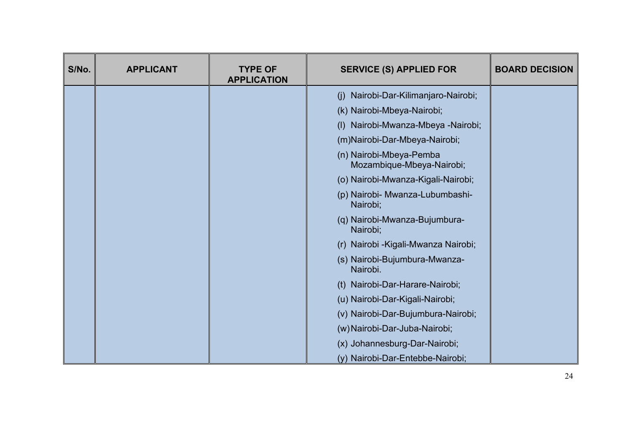| S/No. | <b>APPLICANT</b> | <b>TYPE OF</b><br><b>APPLICATION</b> | <b>SERVICE (S) APPLIED FOR</b>                       | <b>BOARD DECISION</b> |
|-------|------------------|--------------------------------------|------------------------------------------------------|-----------------------|
|       |                  |                                      | (j) Nairobi-Dar-Kilimanjaro-Nairobi;                 |                       |
|       |                  |                                      | (k) Nairobi-Mbeya-Nairobi;                           |                       |
|       |                  |                                      | (I) Nairobi-Mwanza-Mbeya -Nairobi;                   |                       |
|       |                  |                                      | (m)Nairobi-Dar-Mbeya-Nairobi;                        |                       |
|       |                  |                                      | (n) Nairobi-Mbeya-Pemba<br>Mozambique-Mbeya-Nairobi; |                       |
|       |                  |                                      | (o) Nairobi-Mwanza-Kigali-Nairobi;                   |                       |
|       |                  |                                      | (p) Nairobi- Mwanza-Lubumbashi-<br>Nairobi;          |                       |
|       |                  |                                      | (q) Nairobi-Mwanza-Bujumbura-<br>Nairobi;            |                       |
|       |                  |                                      | (r) Nairobi - Kigali-Mwanza Nairobi;                 |                       |
|       |                  |                                      | (s) Nairobi-Bujumbura-Mwanza-<br>Nairobi.            |                       |
|       |                  |                                      | (t) Nairobi-Dar-Harare-Nairobi;                      |                       |
|       |                  |                                      | (u) Nairobi-Dar-Kigali-Nairobi;                      |                       |
|       |                  |                                      | (v) Nairobi-Dar-Bujumbura-Nairobi;                   |                       |
|       |                  |                                      | (w) Nairobi-Dar-Juba-Nairobi;                        |                       |
|       |                  |                                      | (x) Johannesburg-Dar-Nairobi;                        |                       |
|       |                  |                                      | (y) Nairobi-Dar-Entebbe-Nairobi;                     |                       |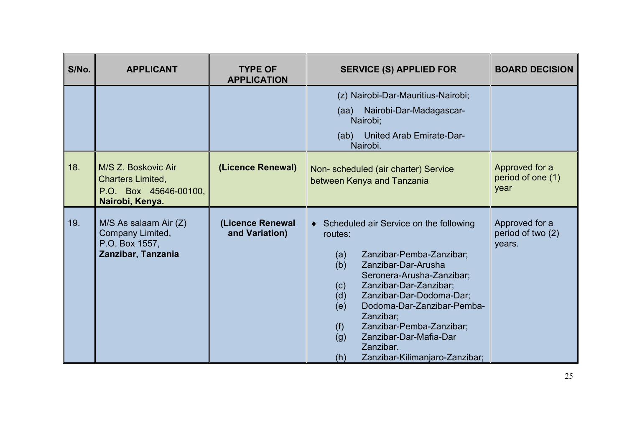| S/No. | <b>APPLICANT</b>                                                                     | <b>TYPE OF</b><br><b>APPLICATION</b> | <b>SERVICE (S) APPLIED FOR</b>                                                                                                                                                                                                                                                                                                                                                                    | <b>BOARD DECISION</b>                         |
|-------|--------------------------------------------------------------------------------------|--------------------------------------|---------------------------------------------------------------------------------------------------------------------------------------------------------------------------------------------------------------------------------------------------------------------------------------------------------------------------------------------------------------------------------------------------|-----------------------------------------------|
|       |                                                                                      |                                      | (z) Nairobi-Dar-Mauritius-Nairobi;<br>Nairobi-Dar-Madagascar-<br>(aa)<br>Nairobi;<br>United Arab Emirate-Dar-<br>(ab)<br>Nairobi.                                                                                                                                                                                                                                                                 |                                               |
| 18.   | M/S Z. Boskovic Air<br>Charters Limited,<br>P.O. Box 45646-00100,<br>Nairobi, Kenya. | (Licence Renewal)                    | Non-scheduled (air charter) Service<br>between Kenya and Tanzania                                                                                                                                                                                                                                                                                                                                 | Approved for a<br>period of one (1)<br>year   |
| 19.   | M/S As salaam Air (Z)<br>Company Limited,<br>P.O. Box 1557,<br>Zanzibar, Tanzania    | (Licence Renewal<br>and Variation)   | ♦ Scheduled air Service on the following<br>routes:<br>Zanzibar-Pemba-Zanzibar;<br>(a)<br>Zanzibar-Dar-Arusha<br>(b)<br>Seronera-Arusha-Zanzibar;<br>Zanzibar-Dar-Zanzibar;<br>(c)<br>Zanzibar-Dar-Dodoma-Dar;<br>(d)<br>(e)<br>Dodoma-Dar-Zanzibar-Pemba-<br>Zanzibar;<br>(f)<br>Zanzibar-Pemba-Zanzibar;<br>Zanzibar-Dar-Mafia-Dar<br>(g)<br>Zanzibar.<br>(h)<br>Zanzibar-Kilimanjaro-Zanzibar; | Approved for a<br>period of two (2)<br>years. |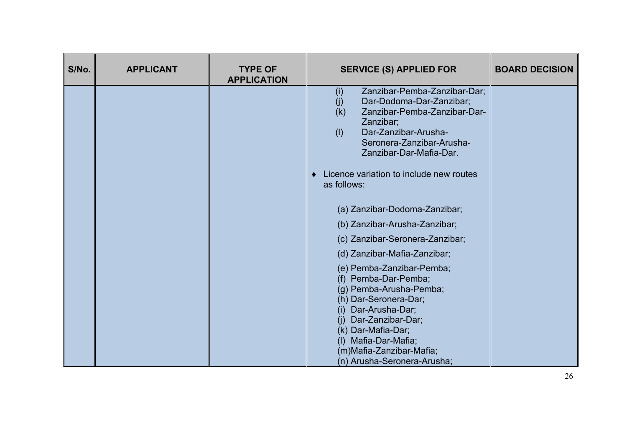| S/No. | <b>APPLICANT</b> | <b>TYPE OF</b><br><b>APPLICATION</b> | <b>SERVICE (S) APPLIED FOR</b>                                                                                                                                                                                                                                  | <b>BOARD DECISION</b> |
|-------|------------------|--------------------------------------|-----------------------------------------------------------------------------------------------------------------------------------------------------------------------------------------------------------------------------------------------------------------|-----------------------|
|       |                  |                                      | Zanzibar-Pemba-Zanzibar-Dar;<br>(i)<br>Dar-Dodoma-Dar-Zanzibar;<br>(j)<br>(k)<br>Zanzibar-Pemba-Zanzibar-Dar-<br>Zanzibar;<br>Dar-Zanzibar-Arusha-<br>(1)<br>Seronera-Zanzibar-Arusha-<br>Zanzibar-Dar-Mafia-Dar.                                               |                       |
|       |                  |                                      | Licence variation to include new routes<br>$\bullet$<br>as follows:                                                                                                                                                                                             |                       |
|       |                  |                                      | (a) Zanzibar-Dodoma-Zanzibar;                                                                                                                                                                                                                                   |                       |
|       |                  |                                      | (b) Zanzibar-Arusha-Zanzibar;                                                                                                                                                                                                                                   |                       |
|       |                  |                                      | (c) Zanzibar-Seronera-Zanzibar;                                                                                                                                                                                                                                 |                       |
|       |                  |                                      | (d) Zanzibar-Mafia-Zanzibar;                                                                                                                                                                                                                                    |                       |
|       |                  |                                      | (e) Pemba-Zanzibar-Pemba;<br>(f) Pemba-Dar-Pemba;<br>(g) Pemba-Arusha-Pemba;<br>(h) Dar-Seronera-Dar;<br>(i) Dar-Arusha-Dar;<br>(i) Dar-Zanzibar-Dar;<br>(k) Dar-Mafia-Dar;<br>(I) Mafia-Dar-Mafia;<br>(m) Mafia-Zanzibar-Mafia;<br>(n) Arusha-Seronera-Arusha; |                       |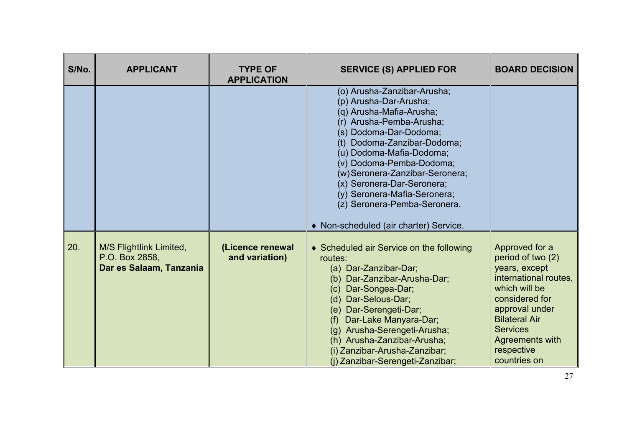| S/No. | <b>APPLICANT</b>                                                     | <b>TYPE OF</b><br><b>APPLICATION</b> | <b>SERVICE (S) APPLIED FOR</b>                                                                                                                                                                                                                                                                                                                                                                            | <b>BOARD DECISION</b>                                                                                                                                                                                                          |
|-------|----------------------------------------------------------------------|--------------------------------------|-----------------------------------------------------------------------------------------------------------------------------------------------------------------------------------------------------------------------------------------------------------------------------------------------------------------------------------------------------------------------------------------------------------|--------------------------------------------------------------------------------------------------------------------------------------------------------------------------------------------------------------------------------|
|       |                                                                      |                                      | (o) Arusha-Zanzibar-Arusha;<br>(p) Arusha-Dar-Arusha;<br>(q) Arusha-Mafia-Arusha;<br>(r) Arusha-Pemba-Arusha;<br>(s) Dodoma-Dar-Dodoma;<br>(t) Dodoma-Zanzibar-Dodoma;<br>(u) Dodoma-Mafia-Dodoma;<br>(v) Dodoma-Pemba-Dodoma;<br>(w) Seronera-Zanzibar-Seronera;<br>(x) Seronera-Dar-Seronera;<br>(y) Seronera-Mafia-Seronera;<br>(z) Seronera-Pemba-Seronera.<br>♦ Non-scheduled (air charter) Service. |                                                                                                                                                                                                                                |
| 20.   | M/S Flightlink Limited,<br>P.O. Box 2858,<br>Dar es Salaam, Tanzania | (Licence renewal<br>and variation)   | ♦ Scheduled air Service on the following<br>routes:<br>(a) Dar-Zanzibar-Dar;<br>Dar-Zanzibar-Arusha-Dar;<br>(b)<br>Dar-Songea-Dar;<br>(c)<br>(d) Dar-Selous-Dar;<br>(e) Dar-Serengeti-Dar;<br>(f) Dar-Lake Manyara-Dar;<br>(g) Arusha-Serengeti-Arusha;<br>(h) Arusha-Zanzibar-Arusha;<br>(i) Zanzibar-Arusha-Zanzibar;<br>(i) Zanzibar-Serengeti-Zanzibar;                                               | Approved for a<br>period of two (2)<br>years, except<br>international routes,<br>which will be<br>considered for<br>approval under<br><b>Bilateral Air</b><br><b>Services</b><br>Agreements with<br>respective<br>countries on |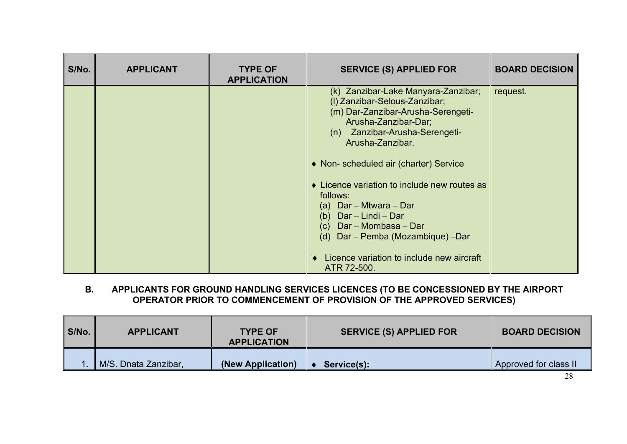| S/No. | <b>APPLICANT</b> | <b>TYPE OF</b><br><b>APPLICATION</b> | <b>SERVICE (S) APPLIED FOR</b>                                                                                                                                                                                                                                                                                                                                                                                                                                                          | <b>BOARD DECISION</b> |
|-------|------------------|--------------------------------------|-----------------------------------------------------------------------------------------------------------------------------------------------------------------------------------------------------------------------------------------------------------------------------------------------------------------------------------------------------------------------------------------------------------------------------------------------------------------------------------------|-----------------------|
|       |                  |                                      | (k) Zanzibar-Lake Manyara-Zanzibar;<br>(I) Zanzibar-Selous-Zanzibar;<br>(m) Dar-Zanzibar-Arusha-Serengeti-<br>Arusha-Zanzibar-Dar;<br>Zanzibar-Arusha-Serengeti-<br>(n)<br>Arusha-Zanzibar.<br>• Non- scheduled air (charter) Service<br>• Licence variation to include new routes as<br>follows:<br>(a) $Dar - Mtwara - Dar$<br>(b) $Dar - Lindi - Dar$<br>(c) $Dar - Mombasa - Dar$<br>(d) Dar - Pemba (Mozambique) - Dar<br>Licence variation to include new aircraft<br>ATR 72-500. | request.              |

#### **B. APPLICANTS FOR GROUND HANDLING SERVICES LICENCES (TO BE CONCESSIONED BY THE AIRPORT OPERATOR PRIOR TO COMMENCEMENT OF PROVISION OF THE APPROVED SERVICES)**

| S/No. | <b>APPLICANT</b>     | <b>TYPE OF</b><br><b>APPLICATION</b> | <b>SERVICE (S) APPLIED FOR</b> | <b>BOARD DECISION</b> |
|-------|----------------------|--------------------------------------|--------------------------------|-----------------------|
|       | M/S. Dnata Zanzibar, | (New Application)                    | Service(s):                    | Approved for class II |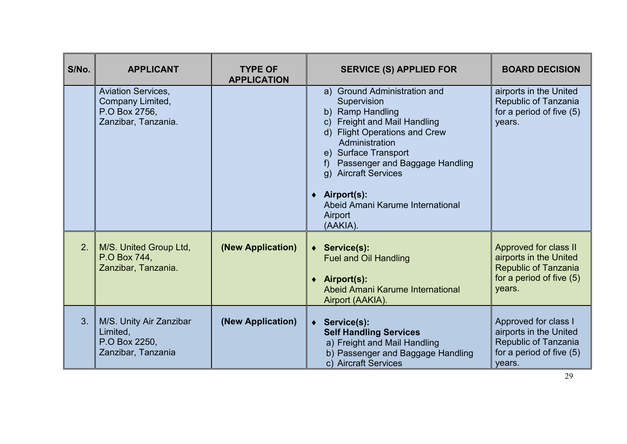| S/No. | <b>APPLICANT</b>                                                                      | <b>TYPE OF</b><br><b>APPLICATION</b> | <b>SERVICE (S) APPLIED FOR</b>                                                                                                                                                                                                                                                                                                                    | <b>BOARD DECISION</b>                                                                                                |
|-------|---------------------------------------------------------------------------------------|--------------------------------------|---------------------------------------------------------------------------------------------------------------------------------------------------------------------------------------------------------------------------------------------------------------------------------------------------------------------------------------------------|----------------------------------------------------------------------------------------------------------------------|
|       | <b>Aviation Services,</b><br>Company Limited,<br>P.O Box 2756,<br>Zanzibar, Tanzania. |                                      | a) Ground Administration and<br>Supervision<br>b) Ramp Handling<br><b>Freight and Mail Handling</b><br>$\mathsf{C}$ )<br>d) Flight Operations and Crew<br>Administration<br>e) Surface Transport<br>Passenger and Baggage Handling<br>g) Aircraft Services<br>Airport(s):<br>$\bullet$<br>Abeid Amani Karume International<br>Airport<br>(AAKIA). | airports in the United<br>Republic of Tanzania<br>for a period of five (5)<br>years.                                 |
| 2.    | M/S. United Group Ltd,<br>P.O Box 744,<br>Zanzibar, Tanzania.                         | (New Application)                    | ◆ Service(s):<br><b>Fuel and Oil Handling</b><br>Airport(s):<br>Abeid Amani Karume International<br>Airport (AAKIA).                                                                                                                                                                                                                              | Approved for class II<br>airports in the United<br><b>Republic of Tanzania</b><br>for a period of five (5)<br>years. |
| 3.    | M/S. Unity Air Zanzibar<br>Limited,<br>P.O Box 2250,<br>Zanzibar, Tanzania            | (New Application)                    | Service(s):<br>$\bullet$<br><b>Self Handling Services</b><br>a) Freight and Mail Handling<br>b) Passenger and Baggage Handling<br>c) Aircraft Services                                                                                                                                                                                            | Approved for class I<br>airports in the United<br>Republic of Tanzania<br>for a period of five (5)<br>years.         |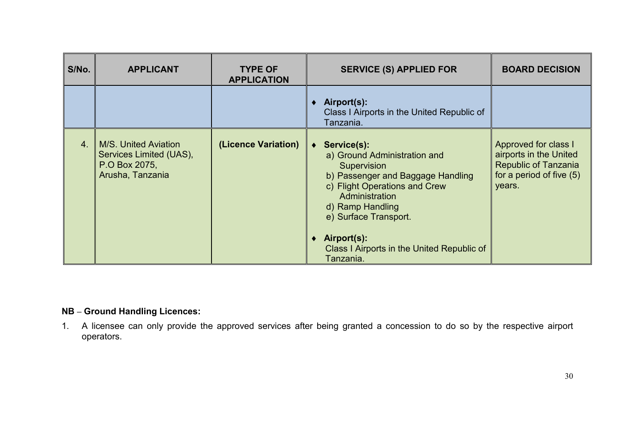| S/No.            | <b>APPLICANT</b>                                                                            | <b>TYPE OF</b><br><b>APPLICATION</b> | <b>SERVICE (S) APPLIED FOR</b>                                                                                                                                                                                                                                                         | <b>BOARD DECISION</b>                                                                                               |
|------------------|---------------------------------------------------------------------------------------------|--------------------------------------|----------------------------------------------------------------------------------------------------------------------------------------------------------------------------------------------------------------------------------------------------------------------------------------|---------------------------------------------------------------------------------------------------------------------|
|                  |                                                                                             |                                      | Airport(s):<br>Class I Airports in the United Republic of<br>Tanzania.                                                                                                                                                                                                                 |                                                                                                                     |
| $\overline{4}$ . | <b>M/S. United Aviation</b><br>Services Limited (UAS),<br>P.O Box 2075,<br>Arusha, Tanzania | (Licence Variation)                  | Service(s):<br>$\bullet$<br>a) Ground Administration and<br>Supervision<br>b) Passenger and Baggage Handling<br>c) Flight Operations and Crew<br>Administration<br>d) Ramp Handling<br>e) Surface Transport.<br>Airport(s):<br>Class I Airports in the United Republic of<br>Tanzania. | Approved for class I<br>airports in the United<br><b>Republic of Tanzania</b><br>for a period of five (5)<br>years. |

### **NB – Ground Handling Licences:**

1. A licensee can only provide the approved services after being granted a concession to do so by the respective airport operators.